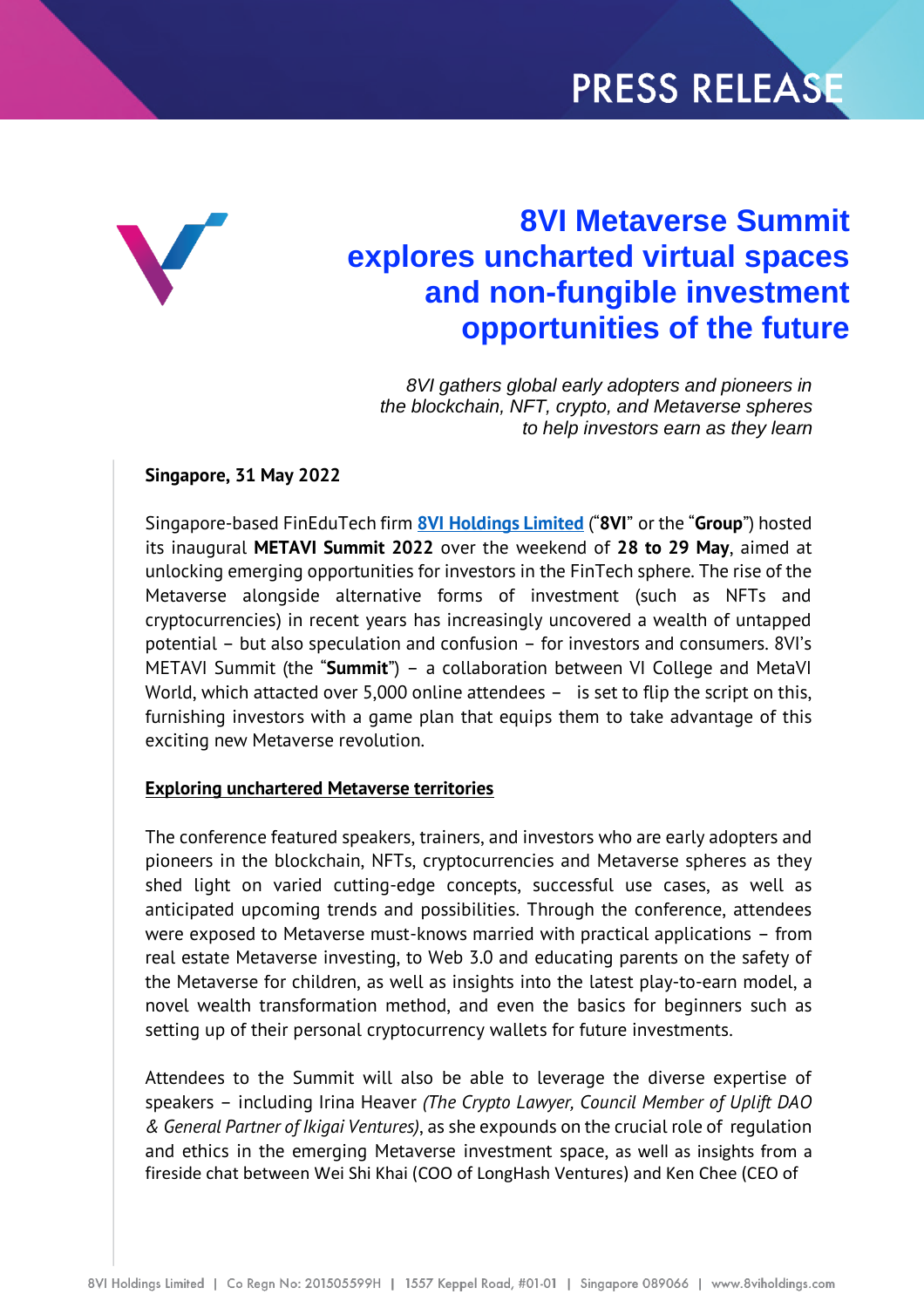# PRESS RELEASE



## **8VI Metaverse Summit explores uncharted virtual spaces and non-fungible investment opportunities of the future**

*8VI gathers global early adopters and pioneers in the blockchain, NFT, crypto, and Metaverse spheres to help investors earn as they learn*

#### **Singapore, 31 May 2022**

Singapore-based FinEduTech firm **8VI [Holdings Limited](https://8viholdings.com/)** ("**8VI**" or the "**Group**") hosted its inaugural **METAVI Summit 2022** over the weekend of **28 to 29 May**, aimed at unlocking emerging opportunities for investors in the FinTech sphere. The rise of the Metaverse alongside alternative forms of investment (such as NFTs and cryptocurrencies) in recent years has increasingly uncovered a wealth of untapped potential – but also speculation and confusion – for investors and consumers. 8VI's METAVI Summit (the "**Summit**") – a collaboration between VI College and MetaVI World, which attacted over 5,000 online attendees - is set to flip the script on this, furnishing investors with a game plan that equips them to take advantage of this exciting new Metaverse revolution.

#### **Exploring unchartered Metaverse territories**

The conference featured speakers, trainers, and investors who are early adopters and pioneers in the blockchain, NFTs, cryptocurrencies and Metaverse spheres as they shed light on varied cutting-edge concepts, successful use cases, as well as anticipated upcoming trends and possibilities. Through the conference, attendees were exposed to Metaverse must-knows married with practical applications – from real estate Metaverse investing, to Web 3.0 and educating parents on the safety of the Metaverse for children, as well as insights into the latest play-to-earn model, a novel wealth transformation method, and even the basics for beginners such as setting up of their personal cryptocurrency wallets for future investments.

Attendees to the Summit will also be able to leverage the diverse expertise of speakers – including Irina Heaver *(The Crypto Lawyer, Council Member of Uplift DAO & General Partner of Ikigai Ventures)*, as she expounds on the crucial role of regulation and ethics in the emerging Metaverse investment space, as well as insights from a fireside chat between Wei Shi Khai (COO of LongHash Ventures) and Ken Chee (CEO of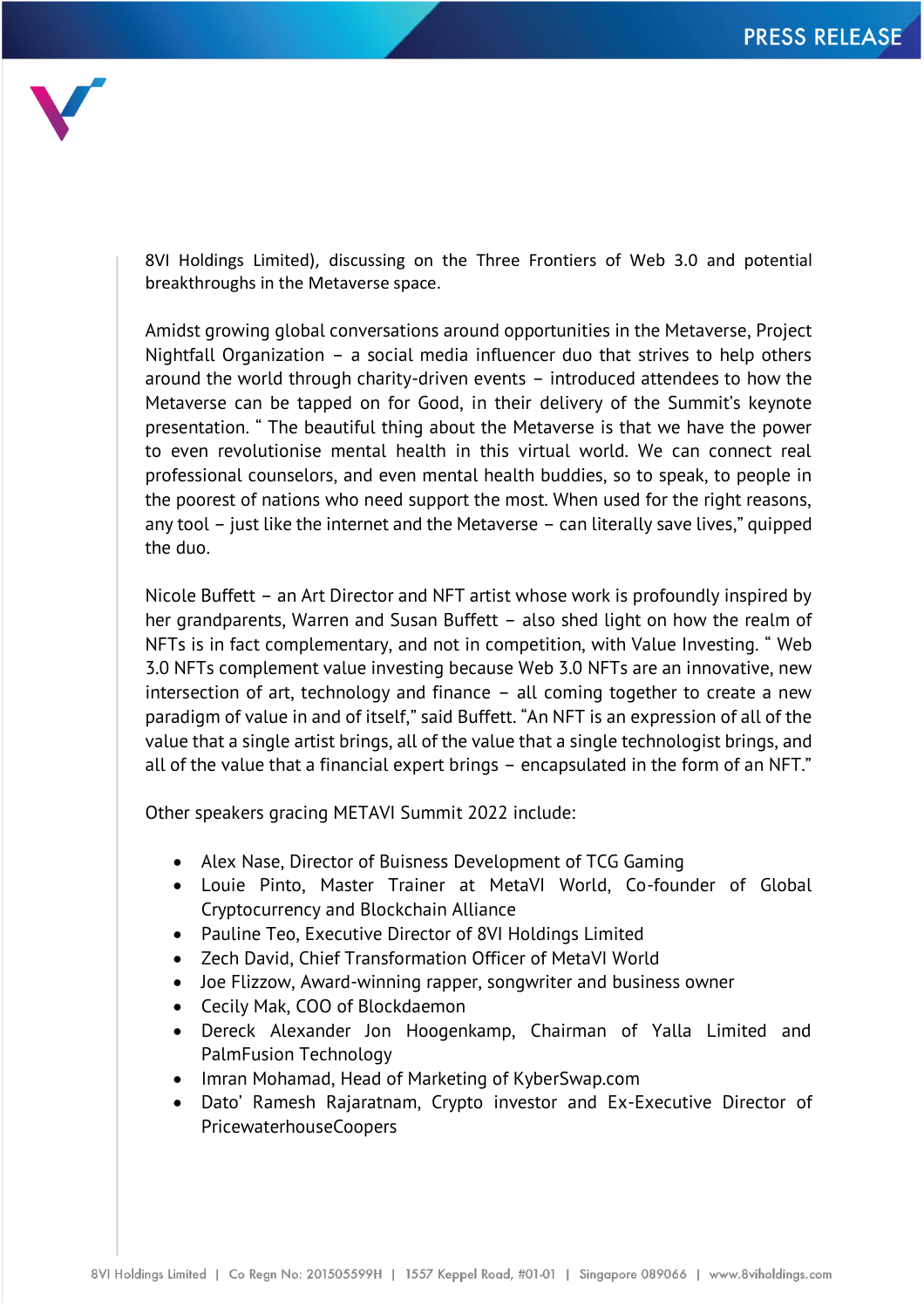

8VI Holdings Limited), discussing on the Three Frontiers of Web 3.0 and potential breakthroughs in the Metaverse space.

Amidst growing global conversations around opportunities in the Metaverse, Project Nightfall Organization – a social media influencer duo that strives to help others around the world through charity-driven events – introduced attendees to how the Metaverse can be tapped on for Good, in their delivery of the Summit's keynote presentation. " The beautiful thing about the Metaverse is that we have the power to even revolutionise mental health in this virtual world. We can connect real professional counselors, and even mental health buddies, so to speak, to people in the poorest of nations who need support the most. When used for the right reasons, any tool – just like the internet and the Metaverse – can literally save lives," quipped the duo.

Nicole Buffett – an Art Director and NFT artist whose work is profoundly inspired by her grandparents, Warren and Susan Buffett – also shed light on how the realm of NFTs is in fact complementary, and not in competition, with Value Investing. " Web 3.0 NFTs complement value investing because Web 3.0 NFTs are an innovative, new intersection of art, technology and finance – all coming together to create a new paradigm of value in and of itself," said Buffett. "An NFT is an expression of all of the value that a single artist brings, all of the value that a single technologist brings, and all of the value that a financial expert brings – encapsulated in the form of an NFT."

Other speakers gracing METAVI Summit 2022 include:

- Alex Nase, Director of Buisness Development of TCG Gaming
- Louie Pinto, Master Trainer at MetaVI World, Co-founder of Global Cryptocurrency and Blockchain Alliance
- Pauline Teo, Executive Director of 8VI Holdings Limited
- Zech David, Chief Transformation Officer of MetaVI World
- Joe Flizzow, Award-winning rapper, songwriter and business owner
- Cecily Mak, COO of Blockdaemon
- Dereck Alexander Jon Hoogenkamp, Chairman of Yalla Limited and PalmFusion Technology
- Imran Mohamad, Head of Marketing of KyberSwap.com
- Dato' Ramesh Rajaratnam, Crypto investor and Ex-Executive Director of PricewaterhouseCoopers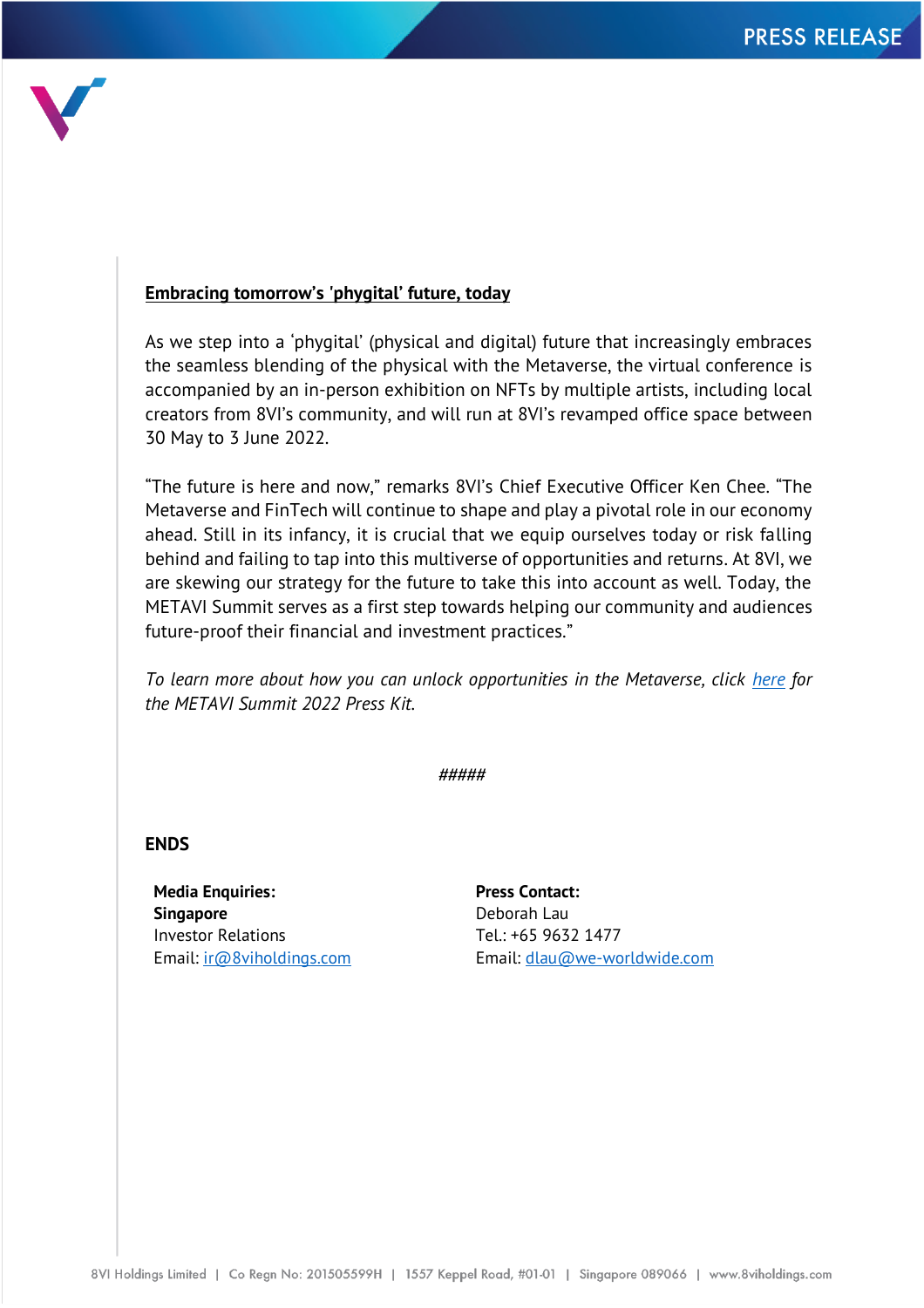

### **Embracing tomorrow's 'phygital' future, today**

As we step into a 'phygital' (physical and digital) future that increasingly embraces the seamless blending of the physical with the Metaverse, the virtual conference is accompanied by an in-person exhibition on NFTs by multiple artists, including local creators from 8VI's community, and will run at 8VI's revamped office space between 30 May to 3 June 2022.

"The future is here and now," remarks 8VI's Chief Executive Officer Ken Chee. "The Metaverse and FinTech will continue to shape and play a pivotal role in our economy ahead. Still in its infancy, it is crucial that we equip ourselves today or risk falling behind and failing to tap into this multiverse of opportunities and returns. At 8VI, we are skewing our strategy for the future to take this into account as well. Today, the METAVI Summit serves as a first step towards helping our community and audiences future-proof their financial and investment practices."

*To learn more about how you can unlock opportunities in the Metaverse, click [here](https://8investment-my.sharepoint.com/personal/yilin_8iholdings_com/_layouts/15/onedrive.aspx?id=%2Fpersonal%2Fyilin%5F8iholdings%5Fcom%2FDocuments%2FMETAVI%20Summit%202022%20%2D%20Press%20Kit&ga=1) for the METAVI Summit 2022 Press Kit.*

*#####*

**ENDS**

**Media Enquiries: Singapore** Investor Relations Email: [ir@8viholdings.com](mailto:ir@8viholdings.com) **Press Contact:** Deborah Lau Tel.: +65 9632 1477 Email: [dlau@we-worldwide.com](mailto:dlau@we-worldwide.com)